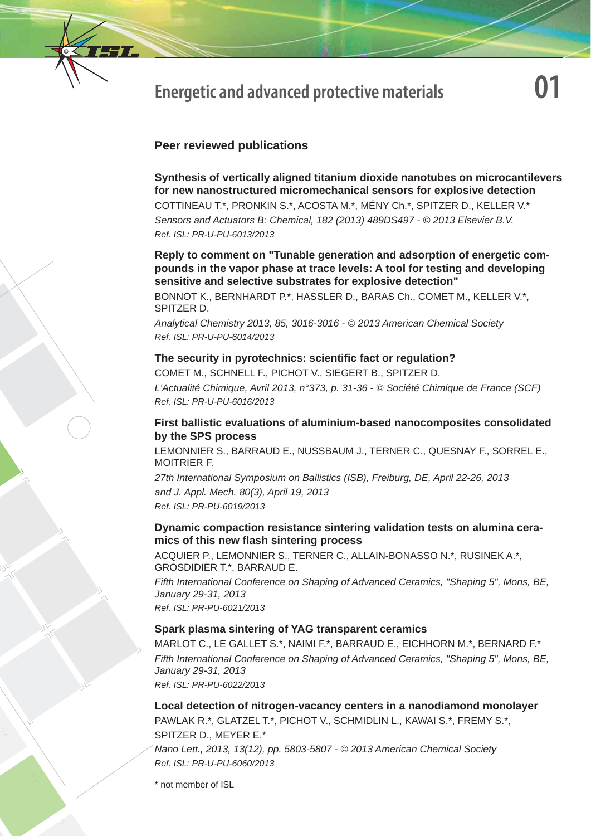

# **Energetic and advanced protective materials**

# **Peer reviewed publications**

**Synthesis of vertically aligned titanium dioxide nanotubes on microcantilevers for new nanostructured micromechanical sensors for explosive detection**  COTTINEAU T.\*, PRONKIN S.\*, ACOSTA M.\*, MÉNY Ch.\*, SPITZER D., KELLER V.\* *Sensors and Actuators B: Chemical, 182 (2013) 489DS497 - © 2013 Elsevier B.V. Ref. ISL: PR-U-PU-6013/2013*

**Reply to comment on "Tunable generation and adsorption of energetic compounds in the vapor phase at trace levels: A tool for testing and developing sensitive and selective substrates for explosive detection"**

BONNOT K., BERNHARDT P.\*, HASSLER D., BARAS Ch., COMET M., KELLER V.\*, SPITZER D.

*Analytical Chemistry 2013, 85, 3016-3016 - © 2013 American Chemical Society Ref. ISL: PR-U-PU-6014/2013*

## **The security in pyrotechnics: scientific fact or regulation?**

COMET M., SCHNELL F., PICHOT V., SIEGERT B., SPITZER D.

*L'Actualité Chimique, Avril 2013, n°373, p. 31-36 - © Société Chimique de France (SCF) Ref. ISL: PR-U-PU-6016/2013*

## **First ballistic evaluations of aluminium-based nanocomposites consolidated by the SPS process**

LEMONNIER S., BARRAUD E., NUSSBAUM J., TERNER C., QUESNAY F., SORREL E., MOITRIER F.

*27th International Symposium on Ballistics (ISB), Freiburg, DE, April 22-26, 2013 and J. Appl. Mech. 80(3), April 19, 2013 Ref. ISL: PR-PU-6019/2013*

## **Dynamic compaction resistance sintering validation tests on alumina ceramics of this new fl ash sintering process**

ACQUIER P., LEMONNIER S., TERNER C., ALLAIN-BONASSO N.\*, RUSINEK A.\*, GROSDIDIER T.\*, BARRAUD E.

*Fifth International Conference on Shaping of Advanced Ceramics, "Shaping 5", Mons, BE, January 29-31, 2013 Ref. ISL: PR-PU-6021/2013*

# **Spark plasma sintering of YAG transparent ceramics**

MARLOT C., LE GALLET S.\*, NAIMI F.\*, BARRAUD E., EICHHORN M.\*, BERNARD F.\* *Fifth International Conference on Shaping of Advanced Ceramics, "Shaping 5", Mons, BE, January 29-31, 2013 Ref. ISL: PR-PU-6022/2013*

**Local detection of nitrogen-vacancy centers in a nanodiamond monolayer** PAWLAK R.\*, GLATZEL T.\*, PICHOT V., SCHMIDLIN L., KAWAI S.\*, FREMY S.\*, SPITZER D., MEYER E.\*

*Nano Lett., 2013, 13(12), pp. 5803-5807 - © 2013 American Chemical Society Ref. ISL: PR-U-PU-6060/2013*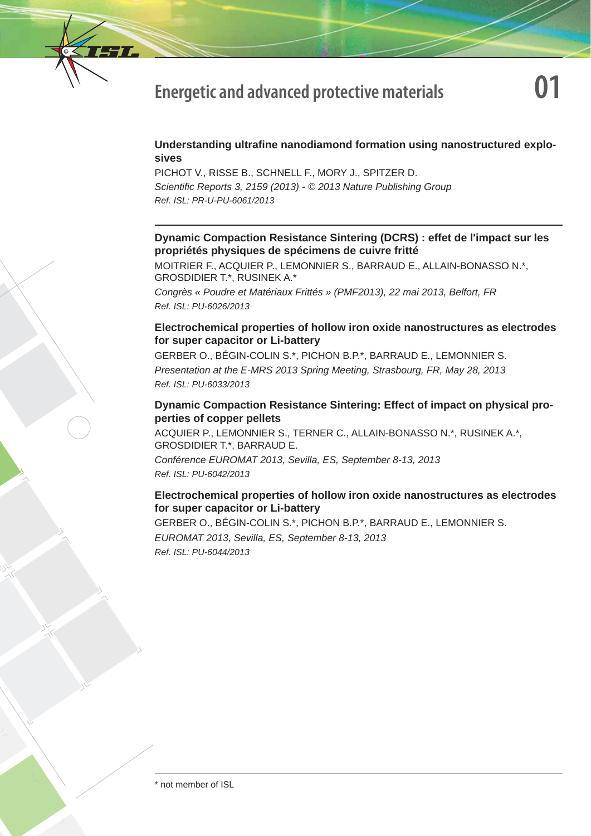

# **Energetic and advanced protective materials**

# **Understanding ultrafine nanodiamond formation using nanostructured explosives**

PICHOT V., RISSE B., SCHNELL F., MORY J., SPITZER D. *Scientifi c Reports 3, 2159 (2013) - © 2013 Nature Publishing Group Ref. ISL: PR-U-PU-6061/2013*

# **Dynamic Compaction Resistance Sintering (DCRS) : effet de l'impact sur les propriétés physiques de spécimens de cuivre fritté**

MOITRIER F., ACQUIER P., LEMONNIER S., BARRAUD E., ALLAIN-BONASSO N.\*, GROSDIDIER T.\*, RUSINEK A.\*

*Congrès « Poudre et Matériaux Frittés » (PMF2013), 22 mai 2013, Belfort, FR Ref. ISL: PU-6026/2013*

# **Electrochemical properties of hollow iron oxide nanostructures as electrodes for super capacitor or Li-battery**

GERBER O., BÉGIN-COLIN S.\*, PICHON B.P.\*, BARRAUD E., LEMONNIER S. *Presentation at the E-MRS 2013 Spring Meeting, Strasbourg, FR, May 28, 2013 Ref. ISL: PU-6033/2013*

## **Dynamic Compaction Resistance Sintering: Effect of impact on physical properties of copper pellets**

ACQUIER P., LEMONNIER S., TERNER C., ALLAIN-BONASSO N.\*, RUSINEK A.\*, GROSDIDIER T.\*, BARRAUD E.

*Conférence EUROMAT 2013, Sevilla, ES, September 8-13, 2013 Ref. ISL: PU-6042/2013*

# **Electrochemical properties of hollow iron oxide nanostructures as electrodes for super capacitor or Li-battery**

GERBER O., BÉGIN-COLIN S.\*, PICHON B.P.\*, BARRAUD E., LEMONNIER S. *EUROMAT 2013, Sevilla, ES, September 8-13, 2013 Ref. ISL: PU-6044/2013*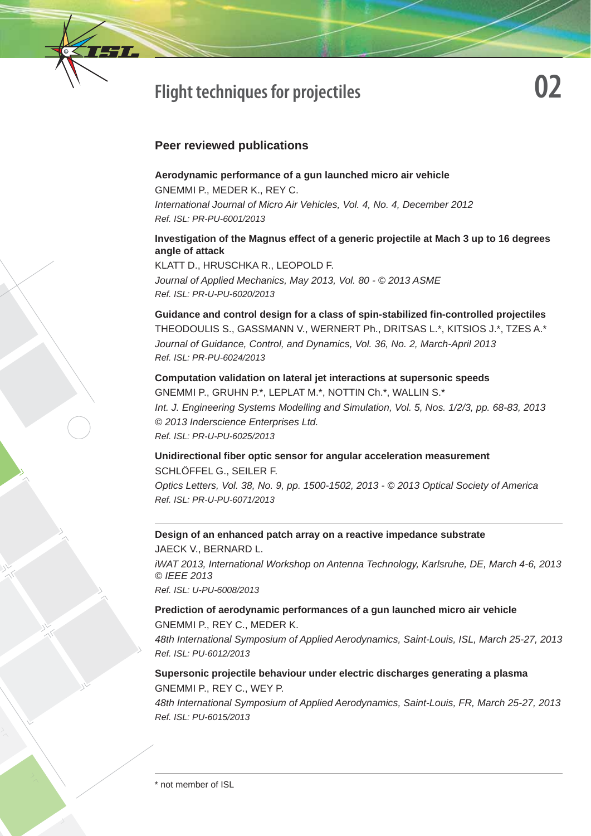

# **Flight techniques for projectiles**

# **Peer reviewed publications**

**Aerodynamic performance of a gun launched micro air vehicle**  GNEMMI P., MEDER K., REY C. *International Journal of Micro Air Vehicles, Vol. 4, No. 4, December 2012 Ref. ISL: PR-PU-6001/2013*

## **Investigation of the Magnus effect of a generic projectile at Mach 3 up to 16 degrees angle of attack**

KLATT D., HRUSCHKA R., LEOPOLD F. *Journal of Applied Mechanics, May 2013, Vol. 80 - © 2013 ASME Ref. ISL: PR-U-PU-6020/2013*

**Guidance and control design for a class of spin-stabilized fi n-controlled projectiles** THEODOULIS S., GASSMANN V., WERNERT Ph., DRITSAS L.\*, KITSIOS J.\*, TZES A.\* *Journal of Guidance, Control, and Dynamics, Vol. 36, No. 2, March-April 2013 Ref. ISL: PR-PU-6024/2013*

**Computation validation on lateral jet interactions at supersonic speeds** GNEMMI P., GRUHN P.\*, LEPLAT M.\*, NOTTIN Ch.\*, WALLIN S.\* *Int. J. Engineering Systems Modelling and Simulation, Vol. 5, Nos. 1/2/3, pp. 68-83, 2013 © 2013 Inderscience Enterprises Ltd. Ref. ISL: PR-U-PU-6025/2013*

**Unidirectional fi ber optic sensor for angular acceleration measurement**  SCHLÖFFEL G., SEILER F. *Optics Letters, Vol. 38, No. 9, pp. 1500-1502, 2013 - © 2013 Optical Society of America*

*Ref. ISL: PR-U-PU-6071/2013*

# **Design of an enhanced patch array on a reactive impedance substrate**

JAECK V., BERNARD L. *iWAT 2013, International Workshop on Antenna Technology, Karlsruhe, DE, March 4-6, 2013 © IEEE 2013 Ref. ISL: U-PU-6008/2013*

#### **Prediction of aerodynamic performances of a gun launched micro air vehicle** GNEMMI P., REY C., MEDER K.

*48th International Symposium of Applied Aerodynamics, Saint-Louis, ISL, March 25-27, 2013 Ref. ISL: PU-6012/2013*

#### **Supersonic projectile behaviour under electric discharges generating a plasma** GNEMMI P., REY C., WEY P.

*48th International Symposium of Applied Aerodynamics, Saint-Louis, FR, March 25-27, 2013 Ref. ISL: PU-6015/2013*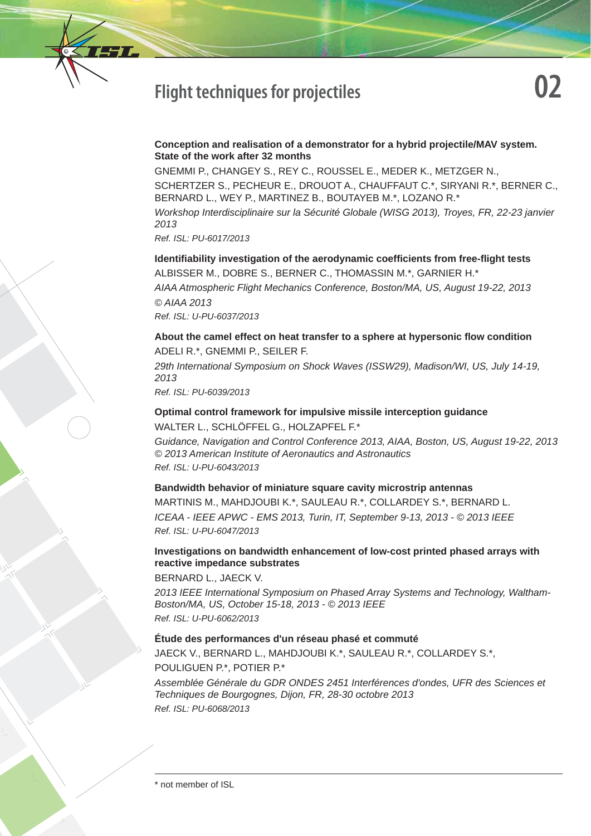# **Flight techniques for projectiles**

#### **Conception and realisation of a demonstrator for a hybrid projectile/MAV system. State of the work after 32 months**

GNEMMI P., CHANGEY S., REY C., ROUSSEL E., MEDER K., METZGER N., SCHERTZER S., PECHEUR E., DROUOT A., CHAUFFAUT C.\*, SIRYANI R.\*, BERNER C., BERNARD L., WEY P., MARTINEZ B., BOUTAYEB M.\*, LOZANO R.\*

*Workshop Interdisciplinaire sur la Sécurité Globale (WISG 2013), Troyes, FR, 22-23 janvier 2013*

*Ref. ISL: PU-6017/2013*

**Identifi ability investigation of the aerodynamic coeffi cients from free-fl ight tests** ALBISSER M., DOBRE S., BERNER C., THOMASSIN M.\*, GARNIER H.\* *AIAA Atmospheric Flight Mechanics Conference, Boston/MA, US, August 19-22, 2013 © AIAA 2013 Ref. ISL: U-PU-6037/2013*

## **About the camel effect on heat transfer to a sphere at hypersonic fl ow condition** ADELI R.\*, GNEMMI P., SEILER F.

*29th International Symposium on Shock Waves (ISSW29), Madison/WI, US, July 14-19, 2013*

*Ref. ISL: PU-6039/2013*

## **Optimal control framework for impulsive missile interception guidance** WALTER L., SCHLÖFFEL G., HOLZAPFEL F.\*

*Guidance, Navigation and Control Conference 2013, AIAA, Boston, US, August 19-22, 2013 © 2013 American Institute of Aeronautics and Astronautics Ref. ISL: U-PU-6043/2013*

#### **Bandwidth behavior of miniature square cavity microstrip antennas**

MARTINIS M., MAHDJOUBI K.\*, SAULEAU R.\*, COLLARDEY S.\*, BERNARD L. *ICEAA - IEEE APWC - EMS 2013, Turin, IT, September 9-13, 2013 - © 2013 IEEE Ref. ISL: U-PU-6047/2013*

#### **Investigations on bandwidth enhancement of low-cost printed phased arrays with reactive impedance substrates**

BERNARD L., JAECK V.

*2013 IEEE International Symposium on Phased Array Systems and Technology, Waltham-Boston/MA, US, October 15-18, 2013 - © 2013 IEEE Ref. ISL: U-PU-6062/2013*

#### **Étude des performances d'un réseau phasé et commuté**

JAECK V., BERNARD L., MAHDJOUBI K.\*, SAULEAU R.\*, COLLARDEY S.\*, POULIGUEN P.\*, POTIER P.\*

*Assemblée Générale du GDR ONDES 2451 Interférences d'ondes, UFR des Sciences et Techniques de Bourgognes, Dijon, FR, 28-30 octobre 2013 Ref. ISL: PU-6068/2013*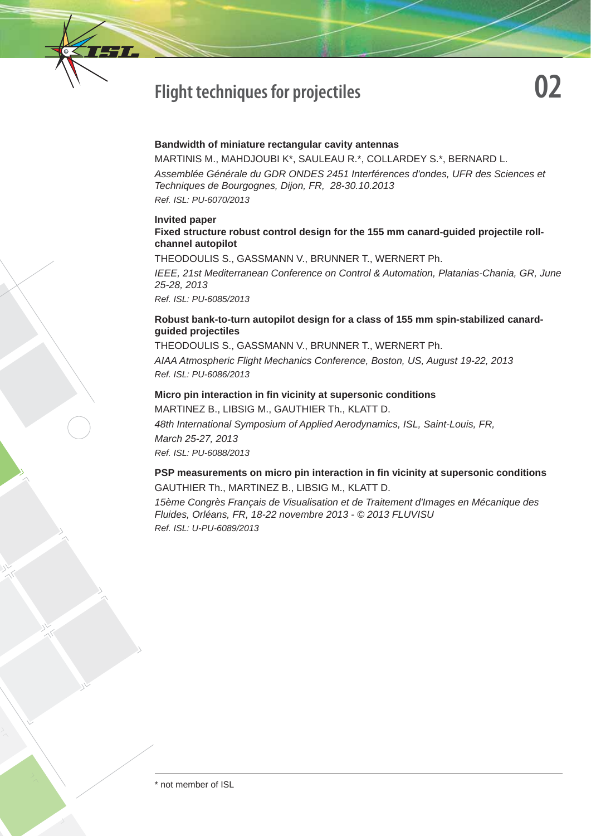

#### **Bandwidth of miniature rectangular cavity antennas**

MARTINIS M., MAHDJOUBI K\*, SAULEAU R.\*, COLLARDEY S.\*, BERNARD L. *Assemblée Générale du GDR ONDES 2451 Interférences d'ondes, UFR des Sciences et Techniques de Bourgognes, Dijon, FR, 28-30.10.2013 Ref. ISL: PU-6070/2013*

#### **Invited paper**

#### **Fixed structure robust control design for the 155 mm canard-guided projectile rollchannel autopilot**

THEODOULIS S., GASSMANN V., BRUNNER T., WERNERT Ph. *IEEE, 21st Mediterranean Conference on Control & Automation, Platanias-Chania, GR, June 25-28, 2013 Ref. ISL: PU-6085/2013*

### **Robust bank-to-turn autopilot design for a class of 155 mm spin-stabilized canardguided projectiles**

THEODOULIS S., GASSMANN V., BRUNNER T., WERNERT Ph. *AIAA Atmospheric Flight Mechanics Conference, Boston, US, August 19-22, 2013 Ref. ISL: PU-6086/2013*

#### **Micro pin interaction in fi n vicinity at supersonic conditions**

MARTINEZ B., LIBSIG M., GAUTHIER Th., KLATT D. *48th International Symposium of Applied Aerodynamics, ISL, Saint-Louis, FR, March 25-27, 2013 Ref. ISL: PU-6088/2013*

#### **PSP measurements on micro pin interaction in fin vicinity at supersonic conditions** GAUTHIER Th., MARTINEZ B., LIBSIG M., KLATT D.

*15ème Congrès Français de Visualisation et de Traitement d'Images en Mécanique des Fluides, Orléans, FR, 18-22 novembre 2013 - © 2013 FLUVISU Ref. ISL: U-PU-6089/2013*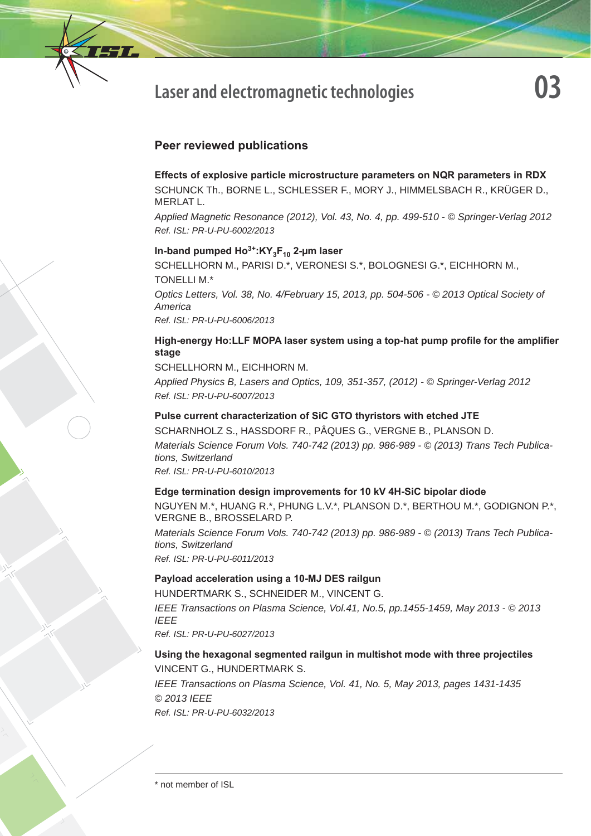

# **Peer reviewed publications**

#### **Effects of explosive particle microstructure parameters on NQR parameters in RDX**

SCHUNCK Th., BORNE L., SCHLESSER F., MORY J., HIMMELSBACH R., KRÜGER D., MERLAT L.

*Applied Magnetic Resonance (2012), Vol. 43, No. 4, pp. 499-510 - © Springer-Verlag 2012 Ref. ISL: PR-U-PU-6002/2013*

## In-band pumped Ho<sup>3+</sup>:KY<sub>3</sub>F<sub>10</sub> 2-μm laser

SCHELLHORN M., PARISI D.\*, VERONESI S.\*, BOLOGNESI G.\*, EICHHORN M., TONELLI M.\*

*Optics Letters, Vol. 38, No. 4/February 15, 2013, pp. 504-506 - © 2013 Optical Society of America*

*Ref. ISL: PR-U-PU-6006/2013*

#### High-energy Ho:LLF MOPA laser system using a top-hat pump profile for the amplifier **stage**

SCHELLHORN M., EICHHORN M.

*Applied Physics B, Lasers and Optics, 109, 351-357, (2012) - © Springer-Verlag 2012 Ref. ISL: PR-U-PU-6007/2013*

## **Pulse current characterization of SiC GTO thyristors with etched JTE**

SCHARNHOLZ S., HASSDORF R., PÂQUES G., VERGNE B., PLANSON D. *Materials Science Forum Vols. 740-742 (2013) pp. 986-989 - © (2013) Trans Tech Publications, Switzerland*

*Ref. ISL: PR-U-PU-6010/2013*

#### **Edge termination design improvements for 10 kV 4H-SiC bipolar diode**

NGUYEN M.\*, HUANG R.\*, PHUNG L.V.\*, PLANSON D.\*, BERTHOU M.\*, GODIGNON P.\*, VERGNE B., BROSSELARD P.

*Materials Science Forum Vols. 740-742 (2013) pp. 986-989 - © (2013) Trans Tech Publications, Switzerland*

*Ref. ISL: PR-U-PU-6011/2013*

#### **Payload acceleration using a 10-MJ DES railgun**

HUNDERTMARK S., SCHNEIDER M., VINCENT G.

*IEEE Transactions on Plasma Science, Vol.41, No.5, pp.1455-1459, May 2013 - © 2013 IEEE*

*Ref. ISL: PR-U-PU-6027/2013* 

## **Using the hexagonal segmented railgun in multishot mode with three projectiles** VINCENT G., HUNDERTMARK S.

*IEEE Transactions on Plasma Science, Vol. 41, No. 5, May 2013, pages 1431-1435 © 2013 IEEE*

*Ref. ISL: PR-U-PU-6032/2013*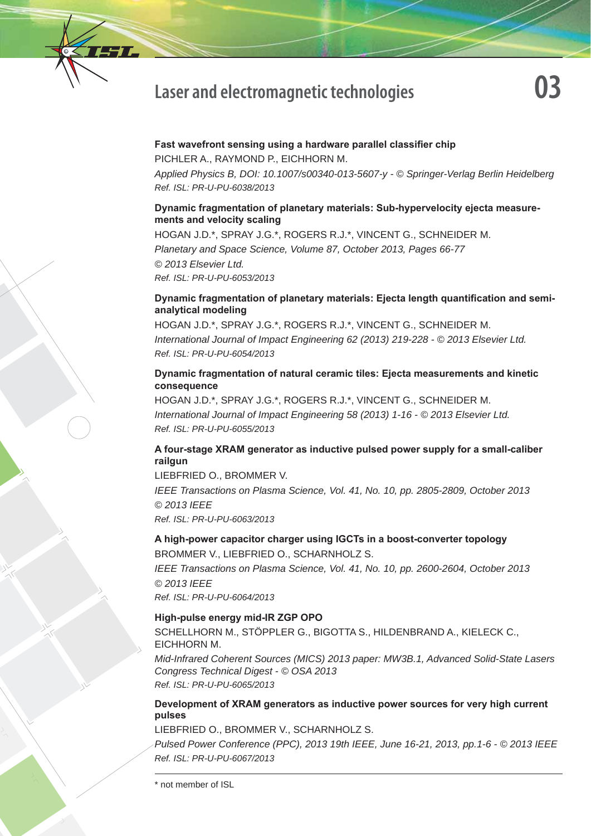

#### **Fast wavefront sensing using a hardware parallel classifier chip**

PICHLER A., RAYMOND P., EICHHORN M.

*Applied Physics B, DOI: 10.1007/s00340-013-5607-y - © Springer-Verlag Berlin Heidelberg Ref. ISL: PR-U-PU-6038/2013*

## **Dynamic fragmentation of planetary materials: Sub-hypervelocity ejecta measurements and velocity scaling**

HOGAN J.D.\*, SPRAY J.G.\*, ROGERS R.J.\*, VINCENT G., SCHNEIDER M. *Planetary and Space Science, Volume 87, October 2013, Pages 66-77 © 2013 Elsevier Ltd. Ref. ISL: PR-U-PU-6053/2013* 

## **Dynamic fragmentation of planetary materials: Ejecta length quantification and semianalytical modeling**

HOGAN J.D.\*, SPRAY J.G.\*, ROGERS R.J.\*, VINCENT G., SCHNEIDER M. *International Journal of Impact Engineering 62 (2013) 219-228 - © 2013 Elsevier Ltd. Ref. ISL: PR-U-PU-6054/2013*

## **Dynamic fragmentation of natural ceramic tiles: Ejecta measurements and kinetic consequence**

HOGAN J.D.\*, SPRAY J.G.\*, ROGERS R.J.\*, VINCENT G., SCHNEIDER M. *International Journal of Impact Engineering 58 (2013) 1-16 - © 2013 Elsevier Ltd. Ref. ISL: PR-U-PU-6055/2013*

# **A four-stage XRAM generator as inductive pulsed power supply for a small-caliber railgun**

LIEBFRIED O., BROMMER V.

*IEEE Transactions on Plasma Science, Vol. 41, No. 10, pp. 2805-2809, October 2013 © 2013 IEEE*

*Ref. ISL: PR-U-PU-6063/2013*

# **A high-power capacitor charger using IGCTs in a boost-converter topology** BROMMER V., LIEBFRIED O., SCHARNHOLZ S.

*IEEE Transactions on Plasma Science, Vol. 41, No. 10, pp. 2600-2604, October 2013 © 2013 IEEE Ref. ISL: PR-U-PU-6064/2013*

#### **High-pulse energy mid-IR ZGP OPO**

SCHELLHORN M., STÖPPLER G., BIGOTTA S., HILDENBRAND A., KIELECK C., EICHHORN M.

*Mid-Infrared Coherent Sources (MICS) 2013 paper: MW3B.1, Advanced Solid-State Lasers Congress Technical Digest - © OSA 2013 Ref. ISL: PR-U-PU-6065/2013*

## **Development of XRAM generators as inductive power sources for very high current pulses**

## LIEBFRIED O., BROMMER V., SCHARNHOLZ S.

*Pulsed Power Conference (PPC), 2013 19th IEEE, June 16-21, 2013, pp.1-6 - © 2013 IEEE Ref. ISL: PR-U-PU-6067/2013*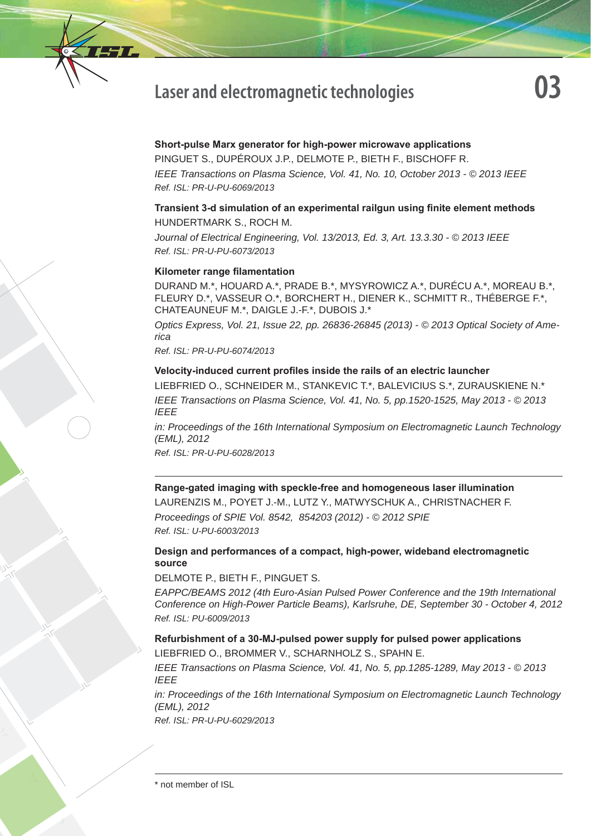

# **Short-pulse Marx generator for high-power microwave applications**

PINGUET S., DUPÉROUX J.P., DELMOTE P., BIETH F., BISCHOFF R. *IEEE Transactions on Plasma Science, Vol. 41, No. 10, October 2013 - © 2013 IEEE Ref. ISL: PR-U-PU-6069/2013*

# **Transient 3-d simulation of an experimental railgun using finite element methods** HUNDERTMARK S., ROCH M.

*Journal of Electrical Engineering, Vol. 13/2013, Ed. 3, Art. 13.3.30 - © 2013 IEEE Ref. ISL: PR-U-PU-6073/2013*

#### **Kilometer range filamentation**

DURAND M.\*, HOUARD A.\*, PRADE B.\*, MYSYROWICZ A.\*, DURÉCU A.\*, MOREAU B.\*, FLEURY D.\*, VASSEUR O.\*, BORCHERT H., DIENER K., SCHMITT R., THÉBERGE F.\*, CHATEAUNEUF M.\*, DAIGLE J.-F.\*, DUBOIS J.\*

*Optics Express, Vol. 21, Issue 22, pp. 26836-26845 (2013) - © 2013 Optical Society of America*

*Ref. ISL: PR-U-PU-6074/2013*

#### Velocity-induced current profiles inside the rails of an electric launcher

LIEBFRIED O., SCHNEIDER M., STANKEVIC T.\*, BALEVICIUS S.\*, ZURAUSKIENE N.\* *IEEE Transactions on Plasma Science, Vol. 41, No. 5, pp.1520-1525, May 2013 - © 2013 IEEE*

*in: Proceedings of the 16th International Symposium on Electromagnetic Launch Technology (EML), 2012* 

*Ref. ISL: PR-U-PU-6028/2013*

## **Range-gated imaging with speckle-free and homogeneous laser illumination**

LAURENZIS M., POYET J.-M., LUTZ Y., MATWYSCHUK A., CHRISTNACHER F. *Proceedings of SPIE Vol. 8542, 854203 (2012) - © 2012 SPIE Ref. ISL: U-PU-6003/2013*

#### **Design and performances of a compact, high-power, wideband electromagnetic source**

DELMOTE P., BIETH F., PINGUET S.

*EAPPC/BEAMS 2012 (4th Euro-Asian Pulsed Power Conference and the 19th International Conference on High-Power Particle Beams), Karlsruhe, DE, September 30 - October 4, 2012 Ref. ISL: PU-6009/2013*

## **Refurbishment of a 30-MJ-pulsed power supply for pulsed power applications** LIEBFRIED O., BROMMER V., SCHARNHOLZ S., SPAHN E.

*IEEE Transactions on Plasma Science, Vol. 41, No. 5, pp.1285-1289, May 2013 - © 2013 IEEE*

*in: Proceedings of the 16th International Symposium on Electromagnetic Launch Technology (EML), 2012*

*Ref. ISL: PR-U-PU-6029/2013*

<sup>\*</sup> not member of ISL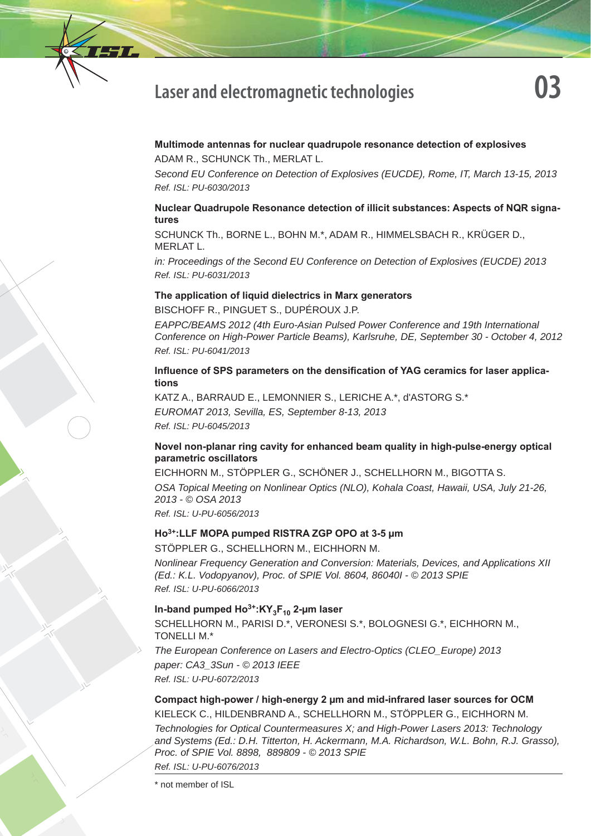

#### **Multimode antennas for nuclear quadrupole resonance detection of explosives** ADAM R., SCHUNCK Th., MERLAT L.

*Second EU Conference on Detection of Explosives (EUCDE), Rome, IT, March 13-15, 2013 Ref. ISL: PU-6030/2013*

## **Nuclear Quadrupole Resonance detection of illicit substances: Aspects of NQR signatures**

SCHUNCK Th., BORNE L., BOHN M.\*, ADAM R., HIMMELSBACH R., KRÜGER D., MERLAT L.

*in: Proceedings of the Second EU Conference on Detection of Explosives (EUCDE) 2013 Ref. ISL: PU-6031/2013*

## **The application of liquid dielectrics in Marx generators**

BISCHOFF R., PINGUET S., DUPÉROUX J.P.

*EAPPC/BEAMS 2012 (4th Euro-Asian Pulsed Power Conference and 19th International Conference on High-Power Particle Beams), Karlsruhe, DE, September 30 - October 4, 2012 Ref. ISL: PU-6041/2013*

## Influence of SPS parameters on the densification of YAG ceramics for laser applica**tions**

KATZ A., BARRAUD E., LEMONNIER S., LERICHE A.\*, d'ASTORG S.\* *EUROMAT 2013, Sevilla, ES, September 8-13, 2013 Ref. ISL: PU-6045/2013*

## **Novel non-planar ring cavity for enhanced beam quality in high-pulse-energy optical parametric oscillators**

EICHHORN M., STÖPPLER G., SCHÖNER J., SCHELLHORN M., BIGOTTA S. *OSA Topical Meeting on Nonlinear Optics (NLO), Kohala Coast, Hawaii, USA, July 21-26, 2013 - © OSA 2013 Ref. ISL: U-PU-6056/2013*

#### **Ho3+:LLF MOPA pumped RISTRA ZGP OPO at 3-5 μm**

STÖPPLER G., SCHELLHORN M., EICHHORN M.

*Nonlinear Frequency Generation and Conversion: Materials, Devices, and Applications XII (Ed.: K.L. Vodopyanov), Proc. of SPIE Vol. 8604, 86040I - © 2013 SPIE Ref. ISL: U-PU-6066/2013*

## In-band pumped Ho<sup>3+</sup>:KY<sub>3</sub>F<sub>10</sub> 2-μm laser

SCHELLHORN M., PARISI D.\*, VERONESI S.\*, BOLOGNESI G.\*, EICHHORN M., TONELLI M.\*

*The European Conference on Lasers and Electro-Optics (CLEO\_Europe) 2013 paper: CA3\_3Sun - © 2013 IEEE Ref. ISL: U-PU-6072/2013*

## **Compact high-power / high-energy 2 μm and mid-infrared laser sources for OCM** KIELECK C., HILDENBRAND A., SCHELLHORN M., STÖPPLER G., EICHHORN M.

*Technologies for Optical Countermeasures X; and High-Power Lasers 2013: Technology*  and Systems (Ed.: D.H. Titterton, H. Ackermann, M.A. Richardson, W.L. Bohn, R.J. Grasso), *Proc. of SPIE Vol. 8898, 889809 - © 2013 SPIE Ref. ISL: U-PU-6076/2013*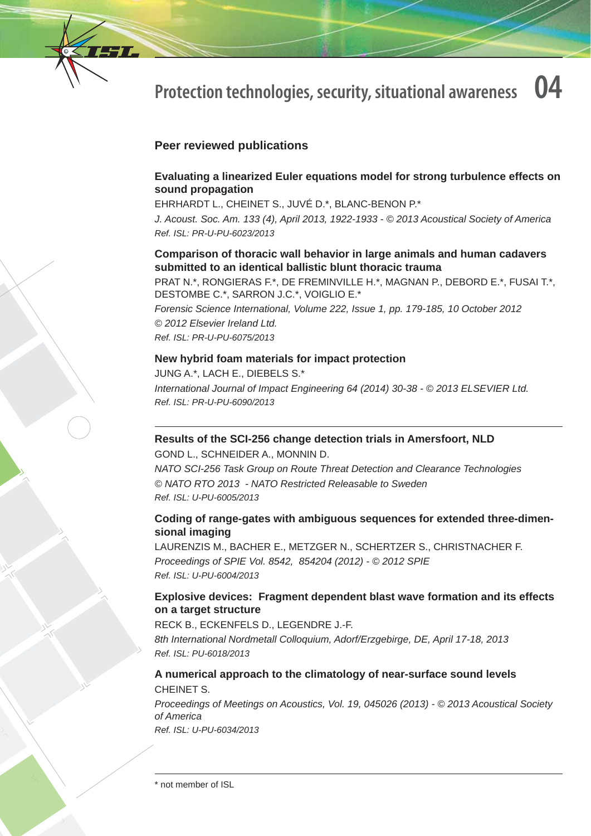

# **Peer reviewed publications**

## **Evaluating a linearized Euler equations model for strong turbulence effects on sound propagation**

EHRHARDT L., CHEINET S., JUVÉ D.\*, BLANC-BENON P.\*

*J. Acoust. Soc. Am. 133 (4), April 2013, 1922-1933 - © 2013 Acoustical Society of America Ref. ISL: PR-U-PU-6023/2013*

# **Comparison of thoracic wall behavior in large animals and human cadavers submitted to an identical ballistic blunt thoracic trauma**

PRAT N.\*, RONGIERAS F.\*, DE FREMINVILLE H.\*, MAGNAN P., DEBORD E.\*, FUSAI T.\*, DESTOMBE C.\*, SARRON J.C.\*, VOIGLIO E.\*

*Forensic Science International, Volume 222, Issue 1, pp. 179-185, 10 October 2012 © 2012 Elsevier Ireland Ltd. Ref. ISL: PR-U-PU-6075/2013*

## **New hybrid foam materials for impact protection**

JUNG A.\*, LACH E., DIEBELS S.\* *International Journal of Impact Engineering 64 (2014) 30-38 - © 2013 ELSEVIER Ltd. Ref. ISL: PR-U-PU-6090/2013*

## **Results of the SCI-256 change detection trials in Amersfoort, NLD**

GOND L., SCHNEIDER A., MONNIN D. *NATO SCI-256 Task Group on Route Threat Detection and Clearance Technologies © NATO RTO 2013 - NATO Restricted Releasable to Sweden Ref. ISL: U-PU-6005/2013*

## **Coding of range-gates with ambiguous sequences for extended three-dimensional imaging**

LAURENZIS M., BACHER E., METZGER N., SCHERTZER S., CHRISTNACHER F. *Proceedings of SPIE Vol. 8542, 854204 (2012) - © 2012 SPIE Ref. ISL: U-PU-6004/2013*

# **Explosive devices: Fragment dependent blast wave formation and its effects on a target structure**

RECK B., ECKENFELS D., LEGENDRE J.-F. *8th International Nordmetall Colloquium, Adorf/Erzgebirge, DE, April 17-18, 2013*

*Ref. ISL: PU-6018/2013*

# **A numerical approach to the climatology of near-surface sound levels** CHEINET S.

*Proceedings of Meetings on Acoustics, Vol. 19, 045026 (2013) - © 2013 Acoustical Society of America Ref. ISL: U-PU-6034/2013*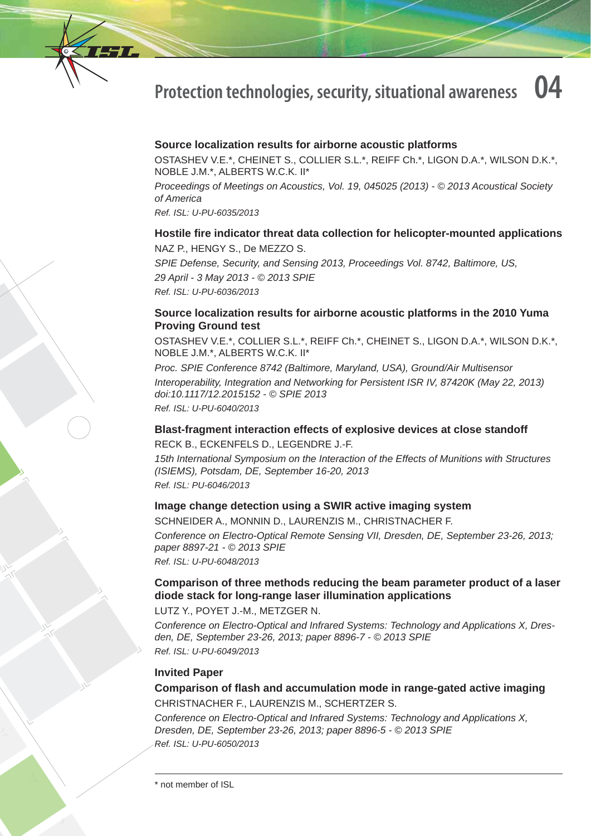

## **Source localization results for airborne acoustic platforms**

OSTASHEV V.E.\*, CHEINET S., COLLIER S.L.\*, REIFF Ch.\*, LIGON D.A.\*, WILSON D.K.\*, NOBLE J.M.\*, ALBERTS W.C.K. II\*

*Proceedings of Meetings on Acoustics, Vol. 19, 045025 (2013) - © 2013 Acoustical Society of America*

*Ref. ISL: U-PU-6035/2013*

#### **Hostile fi re indicator threat data collection for helicopter-mounted applications** NAZ P., HENGY S., De MEZZO S.

*SPIE Defense, Security, and Sensing 2013, Proceedings Vol. 8742, Baltimore, US, 29 April - 3 May 2013 - © 2013 SPIE Ref. ISL: U-PU-6036/2013*

## **Source localization results for airborne acoustic platforms in the 2010 Yuma Proving Ground test**

OSTASHEV V.E.\*, COLLIER S.L.\*, REIFF Ch.\*, CHEINET S., LIGON D.A.\*, WILSON D.K.\*, NOBLE J.M.\*, ALBERTS W.C.K. II\*

*Proc. SPIE Conference 8742 (Baltimore, Maryland, USA), Ground/Air Multisensor Interoperability, Integration and Networking for Persistent ISR IV, 87420K (May 22, 2013) doi:10.1117/12.2015152 - © SPIE 2013 Ref. ISL: U-PU-6040/2013*

# **Blast-fragment interaction effects of explosive devices at close standoff**

RECK B., ECKENFELS D., LEGENDRE J.-F.

*15th International Symposium on the Interaction of the Effects of Munitions with Structures (ISIEMS), Potsdam, DE, September 16-20, 2013 Ref. ISL: PU-6046/2013*

#### **Image change detection using a SWIR active imaging system**

SCHNEIDER A., MONNIN D., LAURENZIS M., CHRISTNACHER F. *Conference on Electro-Optical Remote Sensing VII, Dresden, DE, September 23-26, 2013; paper 8897-21 - © 2013 SPIE Ref. ISL: U-PU-6048/2013*

# **Comparison of three methods reducing the beam parameter product of a laser diode stack for long-range laser illumination applications**

LUTZ Y., POYET J.-M., METZGER N.

*Conference on Electro-Optical and Infrared Systems: Technology and Applications X, Dresden, DE, September 23-26, 2013; paper 8896-7 - © 2013 SPIE Ref. ISL: U-PU-6049/2013*

#### **Invited Paper**

**Comparison of fl ash and accumulation mode in range-gated active imaging** CHRISTNACHER F., LAURENZIS M., SCHERTZER S.

*Conference on Electro-Optical and Infrared Systems: Technology and Applications X, Dresden, DE, September 23-26, 2013; paper 8896-5 - © 2013 SPIE Ref. ISL: U-PU-6050/2013*

<sup>\*</sup> not member of ISL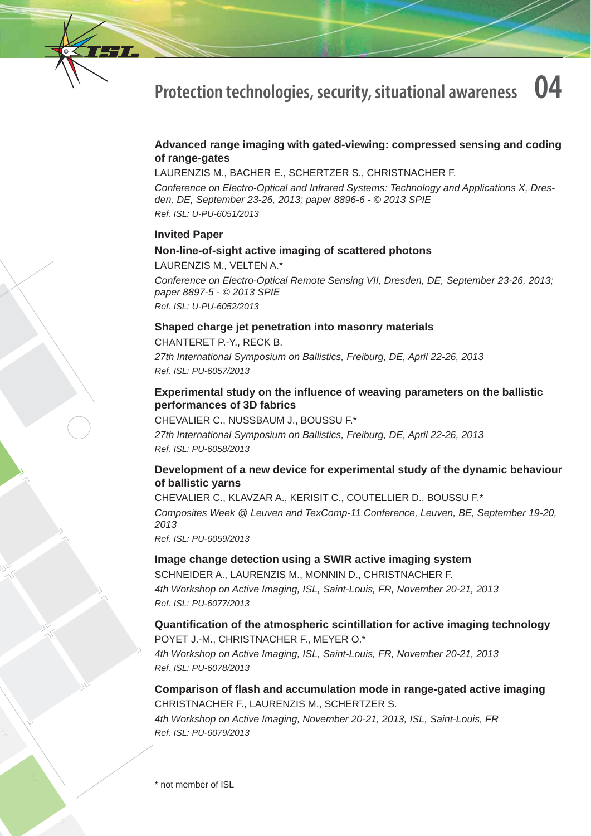

## **Advanced range imaging with gated-viewing: compressed sensing and coding of range-gates**

LAURENZIS M., BACHER E., SCHERTZER S., CHRISTNACHER F.

*Conference on Electro-Optical and Infrared Systems: Technology and Applications X, Dresden, DE, September 23-26, 2013; paper 8896-6 - © 2013 SPIE Ref. ISL: U-PU-6051/2013*

#### **Invited Paper**

#### **Non-line-of-sight active imaging of scattered photons**

LAURENZIS M., VELTEN A.\*

*Conference on Electro-Optical Remote Sensing VII, Dresden, DE, September 23-26, 2013; paper 8897-5 - © 2013 SPIE Ref. ISL: U-PU-6052/2013*

#### **Shaped charge jet penetration into masonry materials**

CHANTERET P.-Y., RECK B. *27th International Symposium on Ballistics, Freiburg, DE, April 22-26, 2013 Ref. ISL: PU-6057/2013*

## **Experimental study on the infl uence of weaving parameters on the ballistic performances of 3D fabrics**

CHEVALIER C., NUSSBAUM J., BOUSSU F.\* *27th International Symposium on Ballistics, Freiburg, DE, April 22-26, 2013 Ref. ISL: PU-6058/2013*

## **Development of a new device for experimental study of the dynamic behaviour of ballistic yarns**

CHEVALIER C., KLAVZAR A., KERISIT C., COUTELLIER D., BOUSSU F.\* *Composites Week @ Leuven and TexComp-11 Conference, Leuven, BE, September 19-20, 2013 Ref. ISL: PU-6059/2013*

#### **Image change detection using a SWIR active imaging system**

SCHNEIDER A., LAURENZIS M., MONNIN D., CHRISTNACHER F. *4th Workshop on Active Imaging, ISL, Saint-Louis, FR, November 20-21, 2013 Ref. ISL: PU-6077/2013*

## **Quantifi cation of the atmospheric scintillation for active imaging technology**

POYET J.-M., CHRISTNACHER F., MEYER O.\* *4th Workshop on Active Imaging, ISL, Saint-Louis, FR, November 20-21, 2013 Ref. ISL: PU-6078/2013*

# **Comparison of fl ash and accumulation mode in range-gated active imaging** CHRISTNACHER F., LAURENZIS M., SCHERTZER S.

*4th Workshop on Active Imaging, November 20-21, 2013, ISL, Saint-Louis, FR Ref. ISL: PU-6079/2013*

<sup>\*</sup> not member of ISL